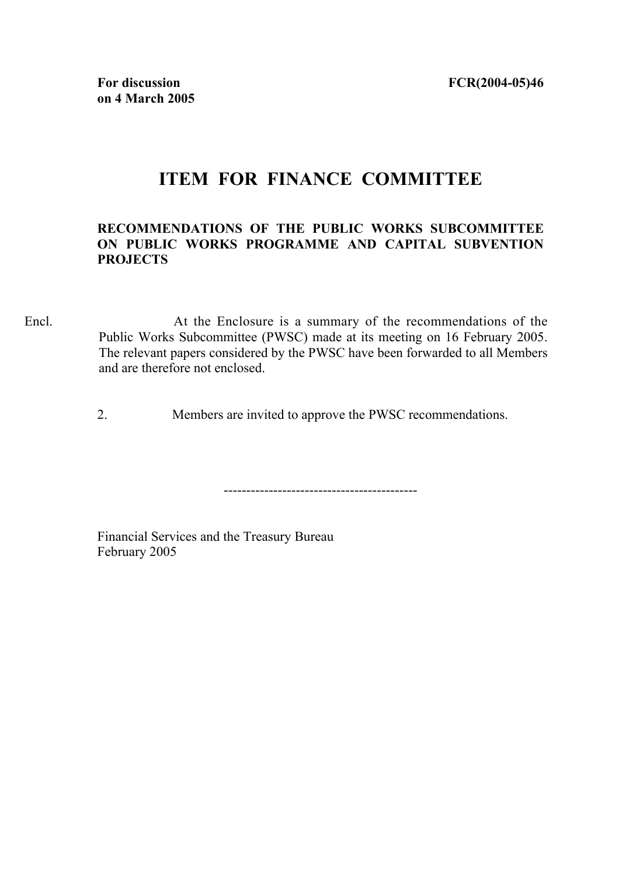## **ITEM FOR FINANCE COMMITTEE**

## **RECOMMENDATIONS OF THE PUBLIC WORKS SUBCOMMITTEE ON PUBLIC WORKS PROGRAMME AND CAPITAL SUBVENTION PROJECTS**

Encl. At the Enclosure is a summary of the recommendations of the Public Works Subcommittee (PWSC) made at its meeting on 16 February 2005. The relevant papers considered by the PWSC have been forwarded to all Members and are therefore not enclosed.

2. Members are invited to approve the PWSC recommendations.

-------------------------------------------

Financial Services and the Treasury Bureau February 2005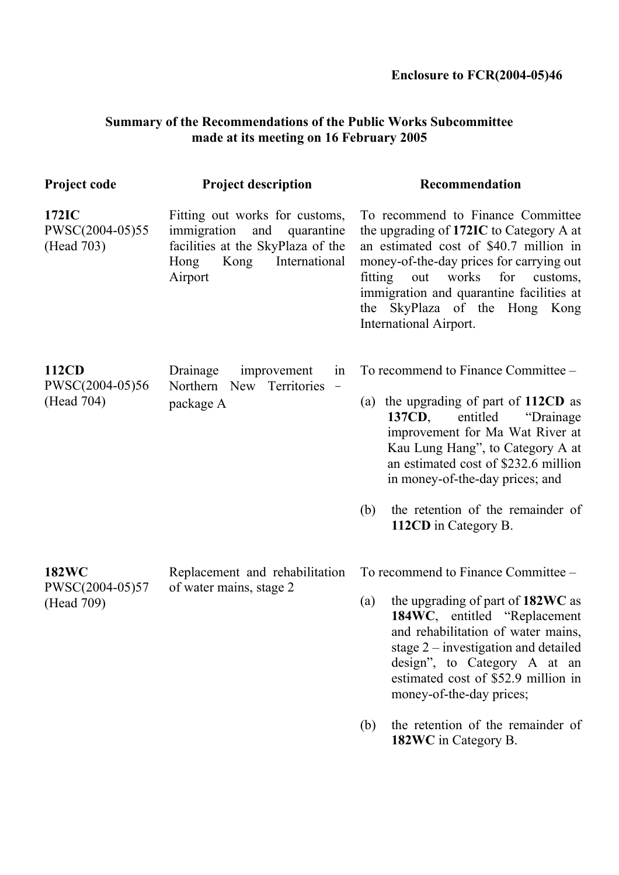## **Summary of the Recommendations of the Public Works Subcommittee made at its meeting on 16 February 2005**

| <b>Project code</b>                           | <b>Project description</b>                                                                                                                          | Recommendation                                                                                                                                                                                                                                                                                                                                                          |
|-----------------------------------------------|-----------------------------------------------------------------------------------------------------------------------------------------------------|-------------------------------------------------------------------------------------------------------------------------------------------------------------------------------------------------------------------------------------------------------------------------------------------------------------------------------------------------------------------------|
| 172IC<br>PWSC(2004-05)55<br>(Head 703)        | Fitting out works for customs,<br>immigration<br>and<br>quarantine<br>facilities at the SkyPlaza of the<br>Kong<br>International<br>Hong<br>Airport | To recommend to Finance Committee<br>the upgrading of 172IC to Category A at<br>an estimated cost of \$40.7 million in<br>money-of-the-day prices for carrying out<br>fitting<br>out works<br>for<br>customs,<br>immigration and quarantine facilities at<br>the SkyPlaza of the Hong Kong<br>International Airport.                                                    |
| 112CD<br>PWSC(2004-05)56<br>(Head 704)        | Drainage<br>improvement<br>in<br>Territories<br>Northern New<br>$\overline{\phantom{a}}$<br>package A                                               | To recommend to Finance Committee –<br>(a) the upgrading of part of $112CD$ as<br>137CD,<br>entitled<br>"Drainage"<br>improvement for Ma Wat River at<br>Kau Lung Hang", to Category A at<br>an estimated cost of \$232.6 million<br>in money-of-the-day prices; and<br>the retention of the remainder of<br>(b)<br>112CD in Category B.                                |
| <b>182WC</b><br>PWSC(2004-05)57<br>(Head 709) | Replacement and rehabilitation<br>of water mains, stage 2                                                                                           | To recommend to Finance Committee –<br>the upgrading of part of 182WC as<br>(a)<br>184WC, entitled "Replacement"<br>and rehabilitation of water mains,<br>stage $2$ – investigation and detailed<br>design", to Category A at an<br>estimated cost of \$52.9 million in<br>money-of-the-day prices;<br>the retention of the remainder of<br>(b)<br>182WC in Category B. |